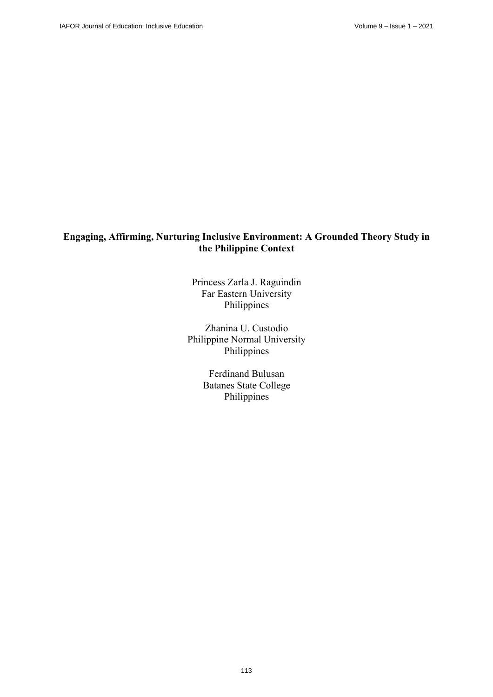# **Engaging, Affirming, Nurturing Inclusive Environment: A Grounded Theory Study in the Philippine Context**

Princess Zarla J. Raguindin Far Eastern University Philippines

Zhanina U. Custodio Philippine Normal University Philippines

> Ferdinand Bulusan Batanes State College Philippines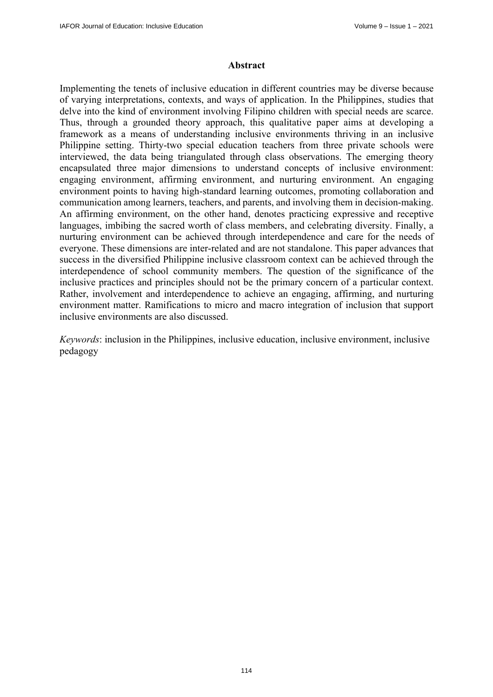### **Abstract**

Implementing the tenets of inclusive education in different countries may be diverse because of varying interpretations, contexts, and ways of application. In the Philippines, studies that delve into the kind of environment involving Filipino children with special needs are scarce. Thus, through a grounded theory approach, this qualitative paper aims at developing a framework as a means of understanding inclusive environments thriving in an inclusive Philippine setting. Thirty-two special education teachers from three private schools were interviewed, the data being triangulated through class observations. The emerging theory encapsulated three major dimensions to understand concepts of inclusive environment: engaging environment, affirming environment, and nurturing environment. An engaging environment points to having high-standard learning outcomes, promoting collaboration and communication among learners, teachers, and parents, and involving them in decision-making. An affirming environment, on the other hand, denotes practicing expressive and receptive languages, imbibing the sacred worth of class members, and celebrating diversity. Finally, a nurturing environment can be achieved through interdependence and care for the needs of everyone. These dimensions are inter-related and are not standalone. This paper advances that success in the diversified Philippine inclusive classroom context can be achieved through the interdependence of school community members. The question of the significance of the inclusive practices and principles should not be the primary concern of a particular context. Rather, involvement and interdependence to achieve an engaging, affirming, and nurturing environment matter. Ramifications to micro and macro integration of inclusion that support inclusive environments are also discussed.

*Keywords*: inclusion in the Philippines, inclusive education, inclusive environment, inclusive pedagogy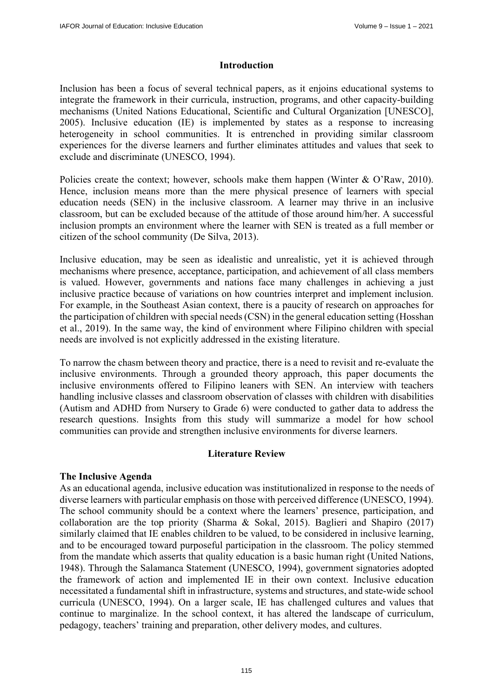### **Introduction**

Inclusion has been a focus of several technical papers, as it enjoins educational systems to integrate the framework in their curricula, instruction, programs, and other capacity-building mechanisms (United Nations Educational, Scientific and Cultural Organization [UNESCO], 2005). Inclusive education (IE) is implemented by states as a response to increasing heterogeneity in school communities. It is entrenched in providing similar classroom experiences for the diverse learners and further eliminates attitudes and values that seek to exclude and discriminate (UNESCO, 1994).

Policies create the context; however, schools make them happen (Winter & O'Raw, 2010). Hence, inclusion means more than the mere physical presence of learners with special education needs (SEN) in the inclusive classroom. A learner may thrive in an inclusive classroom, but can be excluded because of the attitude of those around him/her. A successful inclusion prompts an environment where the learner with SEN is treated as a full member or citizen of the school community (De Silva, 2013).

Inclusive education, may be seen as idealistic and unrealistic, yet it is achieved through mechanisms where presence, acceptance, participation, and achievement of all class members is valued. However, governments and nations face many challenges in achieving a just inclusive practice because of variations on how countries interpret and implement inclusion. For example, in the Southeast Asian context, there is a paucity of research on approaches for the participation of children with special needs (CSN) in the general education setting (Hosshan et al., 2019). In the same way, the kind of environment where Filipino children with special needs are involved is not explicitly addressed in the existing literature.

To narrow the chasm between theory and practice, there is a need to revisit and re-evaluate the inclusive environments. Through a grounded theory approach, this paper documents the inclusive environments offered to Filipino leaners with SEN. An interview with teachers handling inclusive classes and classroom observation of classes with children with disabilities (Autism and ADHD from Nursery to Grade 6) were conducted to gather data to address the research questions. Insights from this study will summarize a model for how school communities can provide and strengthen inclusive environments for diverse learners.

# **Literature Review**

### **The Inclusive Agenda**

As an educational agenda, inclusive education was institutionalized in response to the needs of diverse learners with particular emphasis on those with perceived difference (UNESCO, 1994). The school community should be a context where the learners' presence, participation, and collaboration are the top priority (Sharma & Sokal, 2015). Baglieri and Shapiro (2017) similarly claimed that IE enables children to be valued, to be considered in inclusive learning, and to be encouraged toward purposeful participation in the classroom. The policy stemmed from the mandate which asserts that quality education is a basic human right (United Nations, 1948). Through the Salamanca Statement (UNESCO, 1994), government signatories adopted the framework of action and implemented IE in their own context. Inclusive education necessitated a fundamental shift in infrastructure, systems and structures, and state-wide school curricula (UNESCO, 1994). On a larger scale, IE has challenged cultures and values that continue to marginalize. In the school context, it has altered the landscape of curriculum, pedagogy, teachers' training and preparation, other delivery modes, and cultures.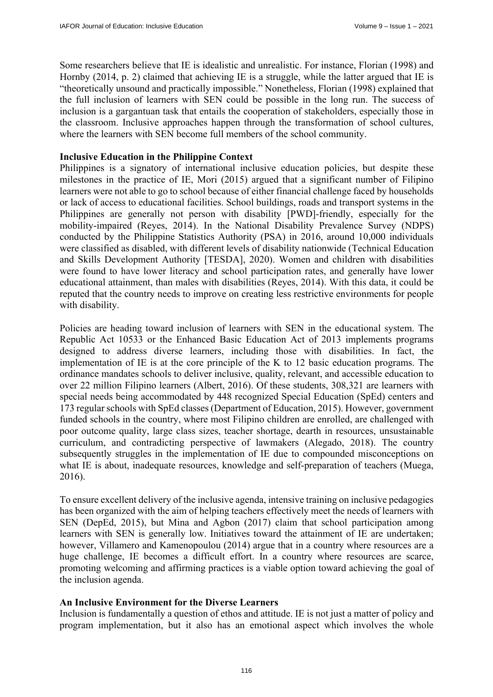Some researchers believe that IE is idealistic and unrealistic. For instance, Florian (1998) and Hornby (2014, p. 2) claimed that achieving IE is a struggle, while the latter argued that IE is "theoretically unsound and practically impossible." Nonetheless, Florian (1998) explained that the full inclusion of learners with SEN could be possible in the long run. The success of inclusion is a gargantuan task that entails the cooperation of stakeholders, especially those in the classroom. Inclusive approaches happen through the transformation of school cultures, where the learners with SEN become full members of the school community.

### **Inclusive Education in the Philippine Context**

Philippines is a signatory of international inclusive education policies, but despite these milestones in the practice of IE, Mori (2015) argued that a significant number of Filipino learners were not able to go to school because of either financial challenge faced by households or lack of access to educational facilities. School buildings, roads and transport systems in the Philippines are generally not person with disability [PWD]-friendly, especially for the mobility-impaired (Reyes, 2014). In the National Disability Prevalence Survey (NDPS) conducted by the Philippine Statistics Authority (PSA) in 2016, around 10,000 individuals were classified as disabled, with different levels of disability nationwide (Technical Education and Skills Development Authority [TESDA], 2020). Women and children with disabilities were found to have lower literacy and school participation rates, and generally have lower educational attainment, than males with disabilities (Reyes, 2014). With this data, it could be reputed that the country needs to improve on creating less restrictive environments for people with disability.

Policies are heading toward inclusion of learners with SEN in the educational system. The Republic Act 10533 or the Enhanced Basic Education Act of 2013 implements programs designed to address diverse learners, including those with disabilities. In fact, the implementation of IE is at the core principle of the K to 12 basic education programs. The ordinance mandates schools to deliver inclusive, quality, relevant, and accessible education to over 22 million Filipino learners (Albert, 2016). Of these students, 308,321 are learners with special needs being accommodated by 448 recognized Special Education (SpEd) centers and 173 regular schools with SpEd classes (Department of Education, 2015). However, government funded schools in the country, where most Filipino children are enrolled, are challenged with poor outcome quality, large class sizes, teacher shortage, dearth in resources, unsustainable curriculum, and contradicting perspective of lawmakers (Alegado, 2018). The country subsequently struggles in the implementation of IE due to compounded misconceptions on what IE is about, inadequate resources, knowledge and self-preparation of teachers (Muega, 2016).

To ensure excellent delivery of the inclusive agenda, intensive training on inclusive pedagogies has been organized with the aim of helping teachers effectively meet the needs of learners with SEN (DepEd, 2015), but Mina and Agbon (2017) claim that school participation among learners with SEN is generally low. Initiatives toward the attainment of IE are undertaken; however, Villamero and Kamenopoulou (2014) argue that in a country where resources are a huge challenge, IE becomes a difficult effort. In a country where resources are scarce, promoting welcoming and affirming practices is a viable option toward achieving the goal of the inclusion agenda.

# **An Inclusive Environment for the Diverse Learners**

Inclusion is fundamentally a question of ethos and attitude. IE is not just a matter of policy and program implementation, but it also has an emotional aspect which involves the whole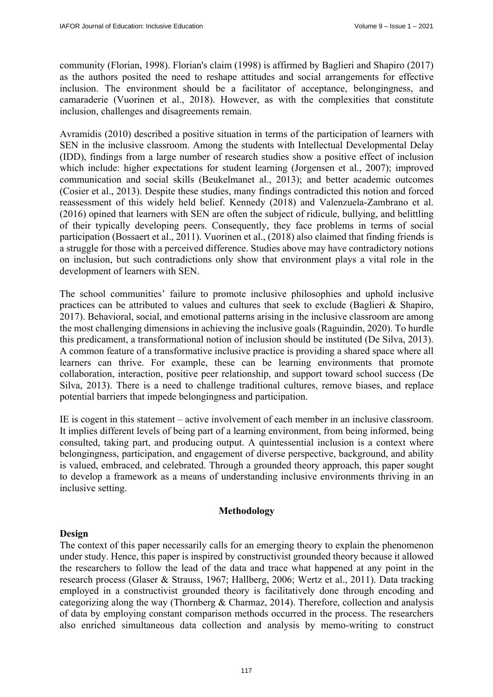community (Florian, 1998). Florian's claim (1998) is affirmed by Baglieri and Shapiro (2017) as the authors posited the need to reshape attitudes and social arrangements for effective inclusion. The environment should be a facilitator of acceptance, belongingness, and camaraderie (Vuorinen et al., 2018). However, as with the complexities that constitute inclusion, challenges and disagreements remain.

Avramidis (2010) described a positive situation in terms of the participation of learners with SEN in the inclusive classroom. Among the students with Intellectual Developmental Delay (IDD), findings from a large number of research studies show a positive effect of inclusion which include: higher expectations for student learning (Jorgensen et al., 2007); improved communication and social skills (Beukelmanet al., 2013); and better academic outcomes (Cosier et al., 2013). Despite these studies, many findings contradicted this notion and forced reassessment of this widely held belief. Kennedy (2018) and Valenzuela-Zambrano et al. (2016) opined that learners with SEN are often the subject of ridicule, bullying, and belittling of their typically developing peers. Consequently, they face problems in terms of social participation (Bossaert et al., 2011). Vuorinen et al., (2018) also claimed that finding friends is a struggle for those with a perceived difference. Studies above may have contradictory notions on inclusion, but such contradictions only show that environment plays a vital role in the development of learners with SEN.

The school communities' failure to promote inclusive philosophies and uphold inclusive practices can be attributed to values and cultures that seek to exclude (Baglieri & Shapiro, 2017). Behavioral, social, and emotional patterns arising in the inclusive classroom are among the most challenging dimensions in achieving the inclusive goals (Raguindin, 2020). To hurdle this predicament, a transformational notion of inclusion should be instituted (De Silva, 2013). A common feature of a transformative inclusive practice is providing a shared space where all learners can thrive. For example, these can be learning environments that promote collaboration, interaction, positive peer relationship, and support toward school success (De Silva, 2013). There is a need to challenge traditional cultures, remove biases, and replace potential barriers that impede belongingness and participation.

IE is cogent in this statement – active involvement of each member in an inclusive classroom. It implies different levels of being part of a learning environment, from being informed, being consulted, taking part, and producing output. A quintessential inclusion is a context where belongingness, participation, and engagement of diverse perspective, background, and ability is valued, embraced, and celebrated. Through a grounded theory approach, this paper sought to develop a framework as a means of understanding inclusive environments thriving in an inclusive setting.

### **Methodology**

### **Design**

The context of this paper necessarily calls for an emerging theory to explain the phenomenon under study. Hence, this paper is inspired by constructivist grounded theory because it allowed the researchers to follow the lead of the data and trace what happened at any point in the research process (Glaser & Strauss, 1967; Hallberg, 2006; Wertz et al., 2011). Data tracking employed in a constructivist grounded theory is facilitatively done through encoding and categorizing along the way (Thornberg & Charmaz, 2014). Therefore, collection and analysis of data by employing constant comparison methods occurred in the process. The researchers also enriched simultaneous data collection and analysis by memo-writing to construct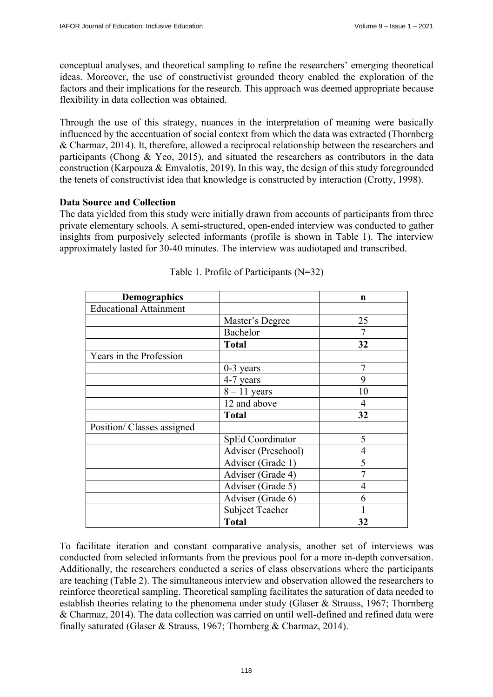conceptual analyses, and theoretical sampling to refine the researchers' emerging theoretical ideas. Moreover, the use of constructivist grounded theory enabled the exploration of the factors and their implications for the research. This approach was deemed appropriate because flexibility in data collection was obtained.

Through the use of this strategy, nuances in the interpretation of meaning were basically influenced by the accentuation of social context from which the data was extracted (Thornberg & Charmaz, 2014). It, therefore, allowed a reciprocal relationship between the researchers and participants (Chong & Yeo, 2015), and situated the researchers as contributors in the data construction (Karpouza & Emvalotis, 2019). In this way, the design of this study foregrounded the tenets of constructivist idea that knowledge is constructed by interaction (Crotty, 1998).

# **Data Source and Collection**

The data yielded from this study were initially drawn from accounts of participants from three private elementary schools. A semi-structured, open-ended interview was conducted to gather insights from purposively selected informants (profile is shown in Table 1). The interview approximately lasted for 30-40 minutes. The interview was audiotaped and transcribed.

| <b>Demographics</b>           |                        | n              |
|-------------------------------|------------------------|----------------|
| <b>Educational Attainment</b> |                        |                |
|                               | Master's Degree        | 25             |
|                               | Bachelor               |                |
|                               | <b>Total</b>           | 32             |
| Years in the Profession       |                        |                |
|                               | $0-3$ years            | 7              |
|                               | 4-7 years              | 9              |
|                               | $8 - 11$ years         | 10             |
|                               | 12 and above           | 4              |
|                               | <b>Total</b>           | 32             |
| Position/ Classes assigned    |                        |                |
|                               | SpEd Coordinator       | 5              |
|                               | Adviser (Preschool)    | $\overline{4}$ |
|                               | Adviser (Grade 1)      | 5              |
|                               | Adviser (Grade 4)      | 7              |
|                               | Adviser (Grade 5)      | $\overline{4}$ |
|                               | Adviser (Grade 6)      | 6              |
|                               | <b>Subject Teacher</b> |                |
|                               | <b>Total</b>           | 32             |

|  |  | Table 1. Profile of Participants (N=32) |  |
|--|--|-----------------------------------------|--|
|--|--|-----------------------------------------|--|

To facilitate iteration and constant comparative analysis, another set of interviews was conducted from selected informants from the previous pool for a more in-depth conversation. Additionally, the researchers conducted a series of class observations where the participants are teaching (Table 2). The simultaneous interview and observation allowed the researchers to reinforce theoretical sampling. Theoretical sampling facilitates the saturation of data needed to establish theories relating to the phenomena under study (Glaser & Strauss, 1967; Thornberg & Charmaz, 2014). The data collection was carried on until well-defined and refined data were finally saturated (Glaser & Strauss, 1967; Thornberg & Charmaz, 2014).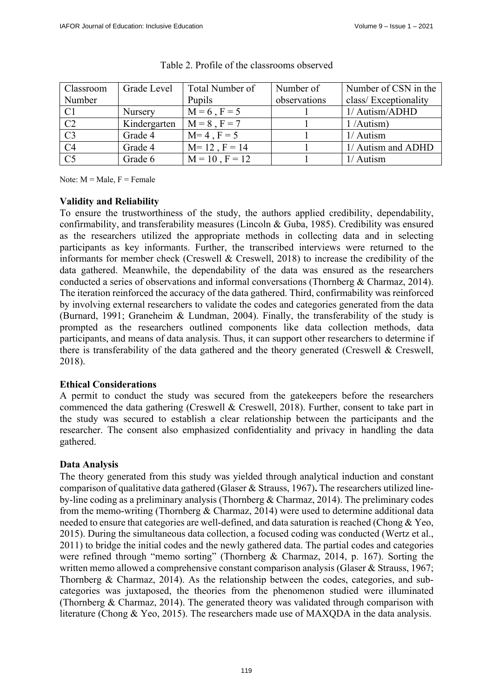| Classroom       | Grade Level    | Total Number of     | Number of    | Number of CSN in the |
|-----------------|----------------|---------------------|--------------|----------------------|
| Number          |                | Pupils              | observations | class/Exceptionality |
| C <sub>1</sub>  | <b>Nursery</b> | $M = 6$ , $F = 5$   |              | 1/ Autism/ADHD       |
| C2              | Kindergarten   | $M = 8$ , $F = 7$   |              | 1/Autism)            |
| $\overline{C}3$ | Grade 4        | $M=4$ , $F=5$       |              | $1/$ Autism          |
| C <sub>4</sub>  | Grade 4        | $M = 12$ , $F = 14$ |              | 1/ Autism and ADHD   |
| C <sub>5</sub>  | Grade 6        | $M = 10$ , $F = 12$ |              | 1/ Autism            |

#### Table 2. Profile of the classrooms observed

Note:  $M = Male$ ,  $F = Female$ 

# **Validity and Reliability**

To ensure the trustworthiness of the study, the authors applied credibility, dependability, confirmability, and transferability measures (Lincoln & Guba, 1985). Credibility was ensured as the researchers utilized the appropriate methods in collecting data and in selecting participants as key informants. Further, the transcribed interviews were returned to the informants for member check (Creswell & Creswell, 2018) to increase the credibility of the data gathered. Meanwhile, the dependability of the data was ensured as the researchers conducted a series of observations and informal conversations (Thornberg & Charmaz, 2014). The iteration reinforced the accuracy of the data gathered. Third, confirmability was reinforced by involving external researchers to validate the codes and categories generated from the data (Burnard, 1991; Graneheim & Lundman, 2004). Finally, the transferability of the study is prompted as the researchers outlined components like data collection methods, data participants, and means of data analysis. Thus, it can support other researchers to determine if there is transferability of the data gathered and the theory generated (Creswell & Creswell, 2018).

# **Ethical Considerations**

A permit to conduct the study was secured from the gatekeepers before the researchers commenced the data gathering (Creswell & Creswell, 2018). Further, consent to take part in the study was secured to establish a clear relationship between the participants and the researcher. The consent also emphasized confidentiality and privacy in handling the data gathered.

# **Data Analysis**

The theory generated from this study was yielded through analytical induction and constant comparison of qualitative data gathered (Glaser & Strauss, 1967)**.** The researchers utilized lineby-line coding as a preliminary analysis (Thornberg & Charmaz, 2014). The preliminary codes from the memo-writing (Thornberg & Charmaz, 2014) were used to determine additional data needed to ensure that categories are well-defined, and data saturation is reached (Chong & Yeo, 2015). During the simultaneous data collection, a focused coding was conducted (Wertz et al., 2011) to bridge the initial codes and the newly gathered data. The partial codes and categories were refined through "memo sorting" (Thornberg & Charmaz, 2014, p. 167). Sorting the written memo allowed a comprehensive constant comparison analysis (Glaser & Strauss, 1967; Thornberg & Charmaz, 2014). As the relationship between the codes, categories, and subcategories was juxtaposed, the theories from the phenomenon studied were illuminated (Thornberg & Charmaz, 2014). The generated theory was validated through comparison with literature (Chong & Yeo, 2015). The researchers made use of MAXQDA in the data analysis.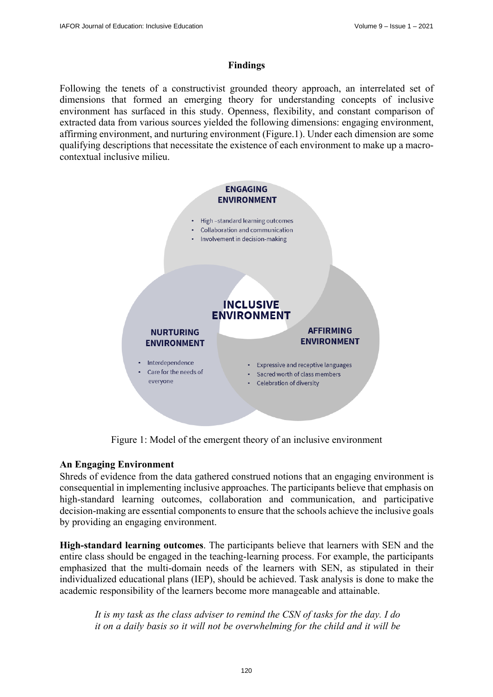### **Findings**

Following the tenets of a constructivist grounded theory approach, an interrelated set of dimensions that formed an emerging theory for understanding concepts of inclusive environment has surfaced in this study. Openness, flexibility, and constant comparison of extracted data from various sources yielded the following dimensions: engaging environment, affirming environment, and nurturing environment (Figure.1). Under each dimension are some qualifying descriptions that necessitate the existence of each environment to make up a macrocontextual inclusive milieu.



Figure 1: Model of the emergent theory of an inclusive environment

# **An Engaging Environment**

Shreds of evidence from the data gathered construed notions that an engaging environment is consequential in implementing inclusive approaches. The participants believe that emphasis on high-standard learning outcomes, collaboration and communication, and participative decision-making are essential components to ensure that the schools achieve the inclusive goals by providing an engaging environment.

**High-standard learning outcomes**. The participants believe that learners with SEN and the entire class should be engaged in the teaching-learning process. For example, the participants emphasized that the multi-domain needs of the learners with SEN, as stipulated in their individualized educational plans (IEP), should be achieved. Task analysis is done to make the academic responsibility of the learners become more manageable and attainable.

*It is my task as the class adviser to remind the CSN of tasks for the day. I do it on a daily basis so it will not be overwhelming for the child and it will be*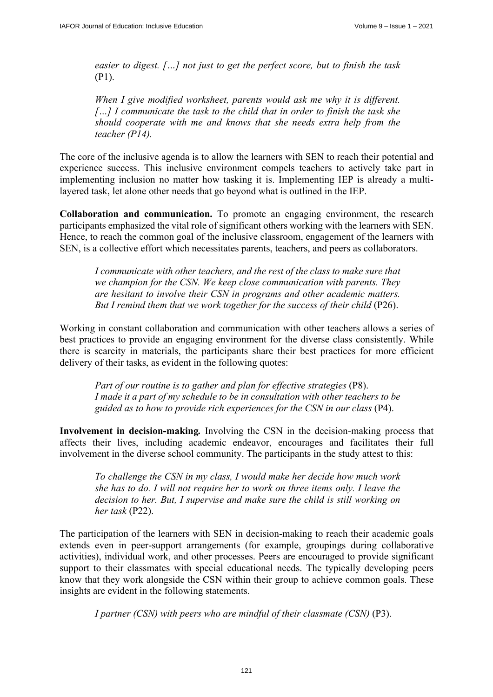*easier to digest. […] not just to get the perfect score, but to finish the task*  (P1).

*When I give modified worksheet, parents would ask me why it is different. […] I communicate the task to the child that in order to finish the task she should cooperate with me and knows that she needs extra help from the teacher (P14).* 

The core of the inclusive agenda is to allow the learners with SEN to reach their potential and experience success. This inclusive environment compels teachers to actively take part in implementing inclusion no matter how tasking it is. Implementing IEP is already a multilayered task, let alone other needs that go beyond what is outlined in the IEP.

**Collaboration and communication.** To promote an engaging environment, the research participants emphasized the vital role of significant others working with the learners with SEN. Hence, to reach the common goal of the inclusive classroom, engagement of the learners with SEN, is a collective effort which necessitates parents, teachers, and peers as collaborators.

*I communicate with other teachers, and the rest of the class to make sure that we champion for the CSN. We keep close communication with parents. They are hesitant to involve their CSN in programs and other academic matters. But I remind them that we work together for the success of their child (P26).* 

Working in constant collaboration and communication with other teachers allows a series of best practices to provide an engaging environment for the diverse class consistently. While there is scarcity in materials, the participants share their best practices for more efficient delivery of their tasks, as evident in the following quotes:

*Part of our routine is to gather and plan for effective strategies (P8). I made it a part of my schedule to be in consultation with other teachers to be guided as to how to provide rich experiences for the CSN in our class* (P4).

**Involvement in decision-making***.* Involving the CSN in the decision-making process that affects their lives, including academic endeavor, encourages and facilitates their full involvement in the diverse school community. The participants in the study attest to this:

*To challenge the CSN in my class, I would make her decide how much work she has to do. I will not require her to work on three items only. I leave the decision to her. But, I supervise and make sure the child is still working on her task* (P22).

The participation of the learners with SEN in decision-making to reach their academic goals extends even in peer-support arrangements (for example, groupings during collaborative activities), individual work, and other processes. Peers are encouraged to provide significant support to their classmates with special educational needs. The typically developing peers know that they work alongside the CSN within their group to achieve common goals. These insights are evident in the following statements.

*I partner (CSN) with peers who are mindful of their classmate (CSN)* (P3).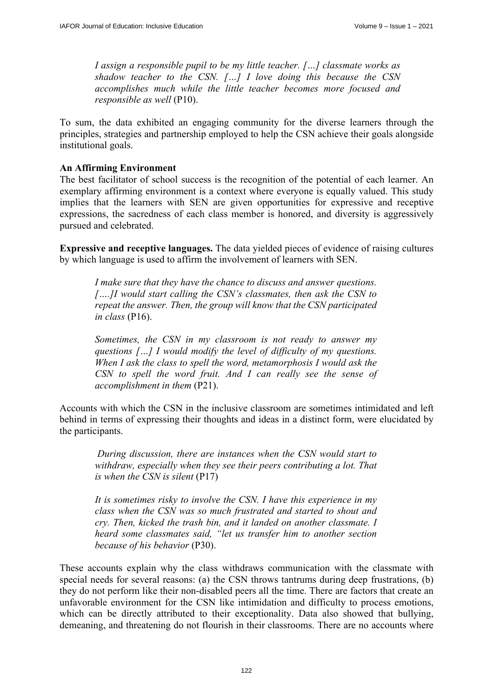*I assign a responsible pupil to be my little teacher. […] classmate works as shadow teacher to the CSN. […] I love doing this because the CSN accomplishes much while the little teacher becomes more focused and responsible as well* (P10).

To sum, the data exhibited an engaging community for the diverse learners through the principles, strategies and partnership employed to help the CSN achieve their goals alongside institutional goals.

### **An Affirming Environment**

The best facilitator of school success is the recognition of the potential of each learner. An exemplary affirming environment is a context where everyone is equally valued. This study implies that the learners with SEN are given opportunities for expressive and receptive expressions, the sacredness of each class member is honored, and diversity is aggressively pursued and celebrated.

**Expressive and receptive languages.** The data yielded pieces of evidence of raising cultures by which language is used to affirm the involvement of learners with SEN.

*I make sure that they have the chance to discuss and answer questions. [….]I would start calling the CSN's classmates, then ask the CSN to repeat the answer. Then, the group will know that the CSN participated in class* (P16).

*Sometimes, the CSN in my classroom is not ready to answer my questions […] I would modify the level of difficulty of my questions. When I ask the class to spell the word, metamorphosis I would ask the CSN to spell the word fruit. And I can really see the sense of accomplishment in them* (P21).

Accounts with which the CSN in the inclusive classroom are sometimes intimidated and left behind in terms of expressing their thoughts and ideas in a distinct form, were elucidated by the participants.

*During discussion, there are instances when the CSN would start to withdraw, especially when they see their peers contributing a lot. That is when the CSN is silent* (P17)

*It is sometimes risky to involve the CSN. I have this experience in my class when the CSN was so much frustrated and started to shout and cry. Then, kicked the trash bin, and it landed on another classmate. I heard some classmates said, "let us transfer him to another section because of his behavior* (P30).

These accounts explain why the class withdraws communication with the classmate with special needs for several reasons: (a) the CSN throws tantrums during deep frustrations, (b) they do not perform like their non-disabled peers all the time. There are factors that create an unfavorable environment for the CSN like intimidation and difficulty to process emotions, which can be directly attributed to their exceptionality. Data also showed that bullying, demeaning, and threatening do not flourish in their classrooms. There are no accounts where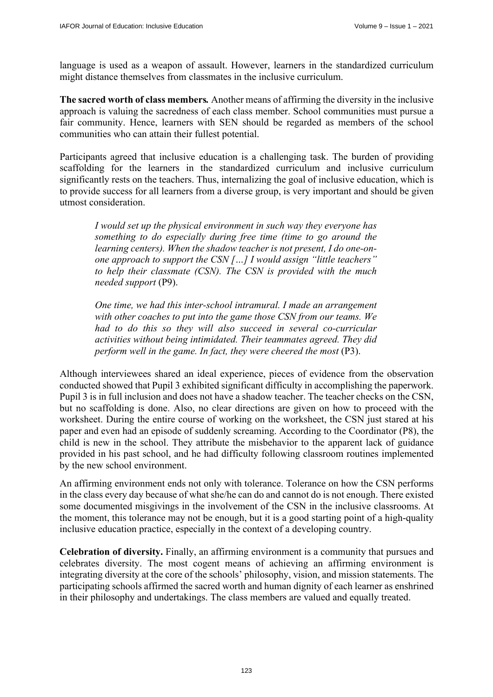language is used as a weapon of assault. However, learners in the standardized curriculum might distance themselves from classmates in the inclusive curriculum.

**The sacred worth of class members***.* Another means of affirming the diversity in the inclusive approach is valuing the sacredness of each class member. School communities must pursue a fair community. Hence, learners with SEN should be regarded as members of the school communities who can attain their fullest potential.

Participants agreed that inclusive education is a challenging task. The burden of providing scaffolding for the learners in the standardized curriculum and inclusive curriculum significantly rests on the teachers. Thus, internalizing the goal of inclusive education, which is to provide success for all learners from a diverse group, is very important and should be given utmost consideration.

*I would set up the physical environment in such way they everyone has something to do especially during free time (time to go around the learning centers). When the shadow teacher is not present, I do one-onone approach to support the CSN […] I would assign "little teachers" to help their classmate (CSN). The CSN is provided with the much needed support* (P9).

*One time, we had this inter-school intramural. I made an arrangement with other coaches to put into the game those CSN from our teams. We had to do this so they will also succeed in several co-curricular activities without being intimidated. Their teammates agreed. They did perform well in the game. In fact, they were cheered the most (P3).* 

Although interviewees shared an ideal experience, pieces of evidence from the observation conducted showed that Pupil 3 exhibited significant difficulty in accomplishing the paperwork. Pupil 3 is in full inclusion and does not have a shadow teacher. The teacher checks on the CSN, but no scaffolding is done. Also, no clear directions are given on how to proceed with the worksheet. During the entire course of working on the worksheet, the CSN just stared at his paper and even had an episode of suddenly screaming. According to the Coordinator (P8), the child is new in the school. They attribute the misbehavior to the apparent lack of guidance provided in his past school, and he had difficulty following classroom routines implemented by the new school environment.

An affirming environment ends not only with tolerance. Tolerance on how the CSN performs in the class every day because of what she/he can do and cannot do is not enough. There existed some documented misgivings in the involvement of the CSN in the inclusive classrooms. At the moment, this tolerance may not be enough, but it is a good starting point of a high-quality inclusive education practice, especially in the context of a developing country.

**Celebration of diversity.** Finally, an affirming environment is a community that pursues and celebrates diversity. The most cogent means of achieving an affirming environment is integrating diversity at the core of the schools' philosophy, vision, and mission statements. The participating schools affirmed the sacred worth and human dignity of each learner as enshrined in their philosophy and undertakings. The class members are valued and equally treated.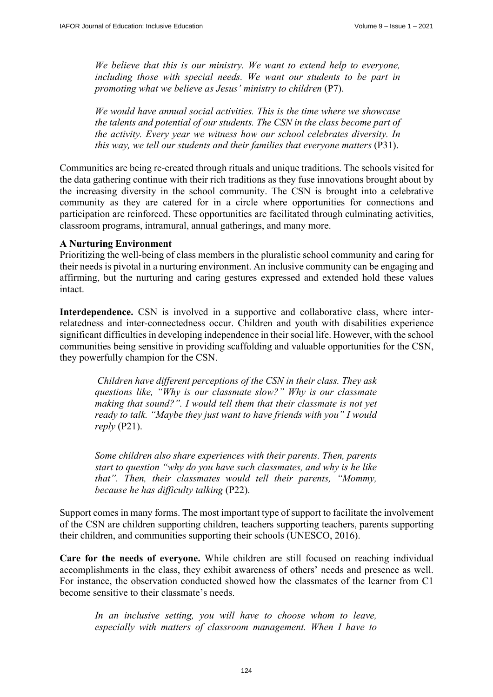*We believe that this is our ministry. We want to extend help to everyone, including those with special needs. We want our students to be part in promoting what we believe as Jesus' ministry to children* (P7).

*We would have annual social activities. This is the time where we showcase the talents and potential of our students. The CSN in the class become part of the activity. Every year we witness how our school celebrates diversity. In this way, we tell our students and their families that everyone matters (P31).* 

Communities are being re-created through rituals and unique traditions. The schools visited for the data gathering continue with their rich traditions as they fuse innovations brought about by the increasing diversity in the school community. The CSN is brought into a celebrative community as they are catered for in a circle where opportunities for connections and participation are reinforced. These opportunities are facilitated through culminating activities, classroom programs, intramural, annual gatherings, and many more.

#### **A Nurturing Environment**

Prioritizing the well-being of class members in the pluralistic school community and caring for their needs is pivotal in a nurturing environment. An inclusive community can be engaging and affirming, but the nurturing and caring gestures expressed and extended hold these values intact.

**Interdependence.** CSN is involved in a supportive and collaborative class, where interrelatedness and inter-connectedness occur. Children and youth with disabilities experience significant difficulties in developing independence in their social life. However, with the school communities being sensitive in providing scaffolding and valuable opportunities for the CSN, they powerfully champion for the CSN.

*Children have different perceptions of the CSN in their class. They ask questions like, "Why is our classmate slow?" Why is our classmate making that sound?". I would tell them that their classmate is not yet ready to talk. "Maybe they just want to have friends with you" I would reply* (P21).

*Some children also share experiences with their parents. Then, parents start to question "why do you have such classmates, and why is he like that". Then, their classmates would tell their parents, "Mommy, because he has difficulty talking* (P22).

Support comes in many forms. The most important type of support to facilitate the involvement of the CSN are children supporting children, teachers supporting teachers, parents supporting their children, and communities supporting their schools (UNESCO, 2016).

**Care for the needs of everyone.** While children are still focused on reaching individual accomplishments in the class, they exhibit awareness of others' needs and presence as well. For instance, the observation conducted showed how the classmates of the learner from C1 become sensitive to their classmate's needs.

In an inclusive setting, you will have to choose whom to leave, *especially with matters of classroom management. When I have to*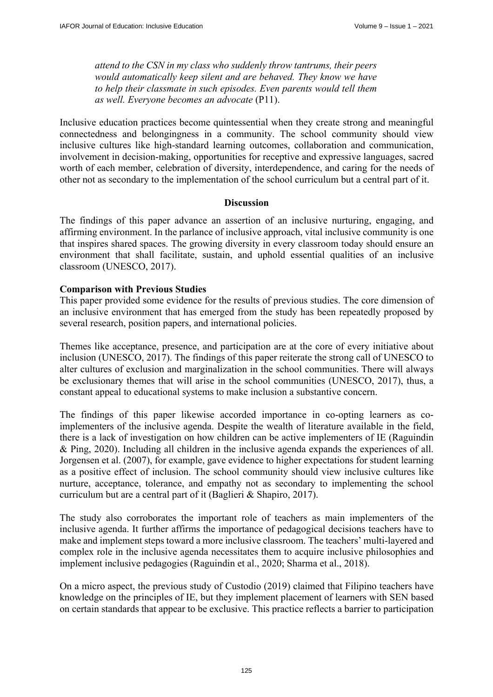*attend to the CSN in my class who suddenly throw tantrums, their peers would automatically keep silent and are behaved. They know we have to help their classmate in such episodes. Even parents would tell them as well. Everyone becomes an advocate* (P11).

Inclusive education practices become quintessential when they create strong and meaningful connectedness and belongingness in a community. The school community should view inclusive cultures like high-standard learning outcomes, collaboration and communication, involvement in decision-making, opportunities for receptive and expressive languages, sacred worth of each member, celebration of diversity, interdependence, and caring for the needs of other not as secondary to the implementation of the school curriculum but a central part of it.

### **Discussion**

The findings of this paper advance an assertion of an inclusive nurturing, engaging, and affirming environment. In the parlance of inclusive approach, vital inclusive community is one that inspires shared spaces. The growing diversity in every classroom today should ensure an environment that shall facilitate, sustain, and uphold essential qualities of an inclusive classroom (UNESCO, 2017).

### **Comparison with Previous Studies**

This paper provided some evidence for the results of previous studies. The core dimension of an inclusive environment that has emerged from the study has been repeatedly proposed by several research, position papers, and international policies.

Themes like acceptance, presence, and participation are at the core of every initiative about inclusion (UNESCO, 2017). The findings of this paper reiterate the strong call of UNESCO to alter cultures of exclusion and marginalization in the school communities. There will always be exclusionary themes that will arise in the school communities (UNESCO, 2017), thus, a constant appeal to educational systems to make inclusion a substantive concern.

The findings of this paper likewise accorded importance in co-opting learners as coimplementers of the inclusive agenda. Despite the wealth of literature available in the field, there is a lack of investigation on how children can be active implementers of IE (Raguindin & Ping, 2020). Including all children in the inclusive agenda expands the experiences of all. Jorgensen et al. (2007), for example, gave evidence to higher expectations for student learning as a positive effect of inclusion. The school community should view inclusive cultures like nurture, acceptance, tolerance, and empathy not as secondary to implementing the school curriculum but are a central part of it (Baglieri & Shapiro, 2017).

The study also corroborates the important role of teachers as main implementers of the inclusive agenda. It further affirms the importance of pedagogical decisions teachers have to make and implement steps toward a more inclusive classroom. The teachers' multi-layered and complex role in the inclusive agenda necessitates them to acquire inclusive philosophies and implement inclusive pedagogies (Raguindin et al., 2020; Sharma et al., 2018).

On a micro aspect, the previous study of Custodio (2019) claimed that Filipino teachers have knowledge on the principles of IE, but they implement placement of learners with SEN based on certain standards that appear to be exclusive. This practice reflects a barrier to participation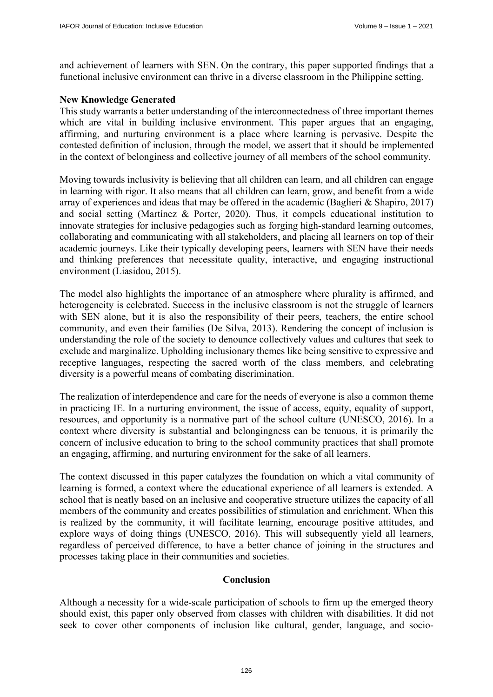and achievement of learners with SEN. On the contrary, this paper supported findings that a functional inclusive environment can thrive in a diverse classroom in the Philippine setting.

### **New Knowledge Generated**

This study warrants a better understanding of the interconnectedness of three important themes which are vital in building inclusive environment. This paper argues that an engaging, affirming, and nurturing environment is a place where learning is pervasive. Despite the contested definition of inclusion, through the model, we assert that it should be implemented in the context of belonginess and collective journey of all members of the school community.

Moving towards inclusivity is believing that all children can learn, and all children can engage in learning with rigor. It also means that all children can learn, grow, and benefit from a wide array of experiences and ideas that may be offered in the academic (Baglieri & Shapiro, 2017) and social setting (Martínez & Porter, 2020). Thus, it compels educational institution to innovate strategies for inclusive pedagogies such as forging high-standard learning outcomes, collaborating and communicating with all stakeholders, and placing all learners on top of their academic journeys. Like their typically developing peers, learners with SEN have their needs and thinking preferences that necessitate quality, interactive, and engaging instructional environment (Liasidou, 2015).

The model also highlights the importance of an atmosphere where plurality is affirmed, and heterogeneity is celebrated. Success in the inclusive classroom is not the struggle of learners with SEN alone, but it is also the responsibility of their peers, teachers, the entire school community, and even their families (De Silva, 2013). Rendering the concept of inclusion is understanding the role of the society to denounce collectively values and cultures that seek to exclude and marginalize. Upholding inclusionary themes like being sensitive to expressive and receptive languages, respecting the sacred worth of the class members, and celebrating diversity is a powerful means of combating discrimination.

The realization of interdependence and care for the needs of everyone is also a common theme in practicing IE. In a nurturing environment, the issue of access, equity, equality of support, resources, and opportunity is a normative part of the school culture (UNESCO, 2016). In a context where diversity is substantial and belongingness can be tenuous, it is primarily the concern of inclusive education to bring to the school community practices that shall promote an engaging, affirming, and nurturing environment for the sake of all learners.

The context discussed in this paper catalyzes the foundation on which a vital community of learning is formed, a context where the educational experience of all learners is extended. A school that is neatly based on an inclusive and cooperative structure utilizes the capacity of all members of the community and creates possibilities of stimulation and enrichment. When this is realized by the community, it will facilitate learning, encourage positive attitudes, and explore ways of doing things (UNESCO, 2016). This will subsequently yield all learners, regardless of perceived difference, to have a better chance of joining in the structures and processes taking place in their communities and societies.

### **Conclusion**

Although a necessity for a wide-scale participation of schools to firm up the emerged theory should exist, this paper only observed from classes with children with disabilities. It did not seek to cover other components of inclusion like cultural, gender, language, and socio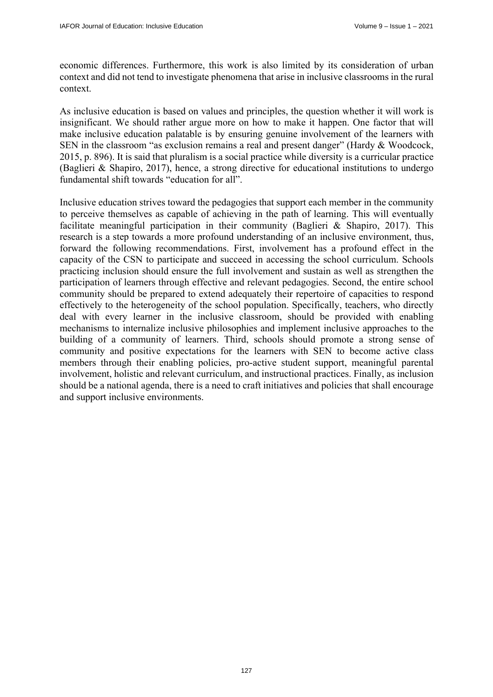economic differences. Furthermore, this work is also limited by its consideration of urban context and did not tend to investigate phenomena that arise in inclusive classrooms in the rural context.

As inclusive education is based on values and principles, the question whether it will work is insignificant. We should rather argue more on how to make it happen. One factor that will make inclusive education palatable is by ensuring genuine involvement of the learners with SEN in the classroom "as exclusion remains a real and present danger" (Hardy & Woodcock, 2015, p. 896). It is said that pluralism is a social practice while diversity is a curricular practice (Baglieri & Shapiro, 2017), hence, a strong directive for educational institutions to undergo fundamental shift towards "education for all".

Inclusive education strives toward the pedagogies that support each member in the community to perceive themselves as capable of achieving in the path of learning. This will eventually facilitate meaningful participation in their community (Baglieri & Shapiro, 2017). This research is a step towards a more profound understanding of an inclusive environment, thus, forward the following recommendations. First, involvement has a profound effect in the capacity of the CSN to participate and succeed in accessing the school curriculum. Schools practicing inclusion should ensure the full involvement and sustain as well as strengthen the participation of learners through effective and relevant pedagogies. Second, the entire school community should be prepared to extend adequately their repertoire of capacities to respond effectively to the heterogeneity of the school population. Specifically, teachers, who directly deal with every learner in the inclusive classroom, should be provided with enabling mechanisms to internalize inclusive philosophies and implement inclusive approaches to the building of a community of learners. Third, schools should promote a strong sense of community and positive expectations for the learners with SEN to become active class members through their enabling policies, pro-active student support, meaningful parental involvement, holistic and relevant curriculum, and instructional practices. Finally, as inclusion should be a national agenda, there is a need to craft initiatives and policies that shall encourage and support inclusive environments.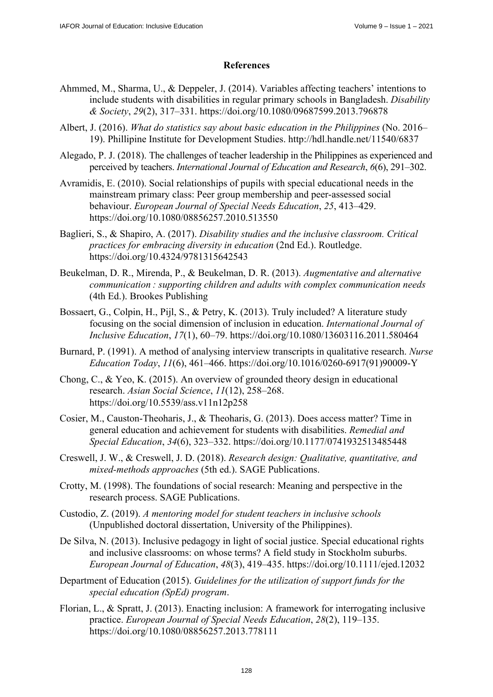# **References**

- Ahmmed, M., Sharma, U., & Deppeler, J. (2014). Variables affecting teachers' intentions to include students with disabilities in regular primary schools in Bangladesh. *Disability & Society*, *29*(2), 317–331. <https://doi.org/10.1080/09687599.2013.796878>
- Albert, J. (2016). *What do statistics say about basic education in the Philippines* (No. 2016– 19). Phillipine Institute for Development Studies.<http://hdl.handle.net/11540/6837>
- Alegado, P. J. (2018). The challenges of teacher leadership in the Philippines as experienced and perceived by teachers. *International Journal of Education and Research*, *6*(6), 291–302.
- Avramidis, E. (2010). Social relationships of pupils with special educational needs in the mainstream primary class: Peer group membership and peer-assessed social behaviour. *European Journal of Special Needs Education*, *25*, 413–429. <https://doi.org/10.1080/08856257.2010.513550>
- Baglieri, S., & Shapiro, A. (2017). *Disability studies and the inclusive classroom. Critical practices for embracing diversity in education* (2nd Ed.). Routledge. <https://doi.org/10.4324/9781315642543>
- Beukelman, D. R., Mirenda, P., & Beukelman, D. R. (2013). *Augmentative and alternative communication : supporting children and adults with complex communication needs* (4th Ed.). Brookes Publishing
- Bossaert, G., Colpin, H., Pijl, S., & Petry, K. (2013). Truly included? A literature study focusing on the social dimension of inclusion in education. *International Journal of Inclusive Education*, *17*(1), 60–79. <https://doi.org/10.1080/13603116.2011.580464>
- Burnard, P. (1991). A method of analysing interview transcripts in qualitative research. *Nurse Education Today*, *11*(6), 461–466. [https://doi.org/10.1016/0260-6917\(91\)](https://doi.org/10.1016/0260-6917)90009-Y
- Chong, C., & Yeo, K. (2015). An overview of grounded theory design in educational research. *Asian Social Science*, *11*(12), 258–268. <https://doi.org/10.5539/ass.v11n12p258>
- Cosier, M., Causton-Theoharis, J., & Theoharis, G. (2013). Does access matter? Time in general education and achievement for students with disabilities. *Remedial and Special Education*, *34*(6), 323–332. <https://doi.org/10.1177/0741932513485448>
- Creswell, J. W., & Creswell, J. D. (2018). *Research design: Qualitative, quantitative, and mixed-methods approaches* (5th ed.). SAGE Publications.
- Crotty, M. (1998). The foundations of social research: Meaning and perspective in the research process. SAGE Publications.
- Custodio, Z. (2019). *A mentoring model for student teachers in inclusive schools* (Unpublished doctoral dissertation, University of the Philippines).
- De Silva, N. (2013). Inclusive pedagogy in light of social justice. Special educational rights and inclusive classrooms: on whose terms? A field study in Stockholm suburbs. *European Journal of Education*, *48*(3), 419–435.<https://doi.org/10.1111/ejed.12032>
- Department of Education (2015). *Guidelines for the utilization of support funds for the special education (SpEd) program*.
- Florian, L., & Spratt, J. (2013). Enacting inclusion: A framework for interrogating inclusive practice. *European Journal of Special Needs Education*, *28*(2), 119–135. <https://doi.org/10.1080/08856257.2013.778111>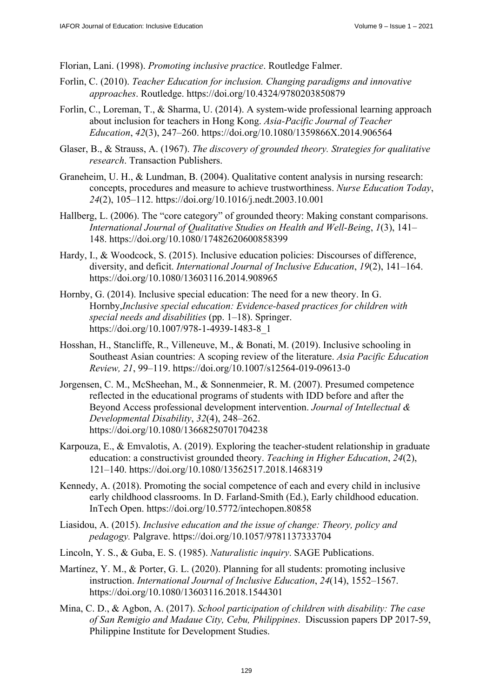Florian, Lani. (1998). *Promoting inclusive practice*. Routledge Falmer.

- Forlin, C. (2010). *Teacher Education for inclusion. Changing paradigms and innovative approaches*. Routledge.<https://doi.org/10.4324/9780203850879>
- Forlin, C., Loreman, T., & Sharma, U. (2014). A system-wide professional learning approach about inclusion for teachers in Hong Kong. *Asia-Pacific Journal of Teacher Education*, *42*(3), 247–260.<https://doi.org/10.1080/1359866X.2014.906564>
- Glaser, B., & Strauss, A. (1967). *The discovery of grounded theory. Strategies for qualitative research*. Transaction Publishers.
- Graneheim, U. H., & Lundman, B. (2004). Qualitative content analysis in nursing research: concepts, procedures and measure to achieve trustworthiness. *Nurse Education Today*, *24*(2), 105–112. <https://doi.org/10.1016/j.nedt.2003.10.001>
- Hallberg, L. (2006). The "core category" of grounded theory: Making constant comparisons. *International Journal of Qualitative Studies on Health and Well-Being*, *1*(3), 141– 148. <https://doi.org/10.1080/17482620600858399>
- Hardy, I., & Woodcock, S. (2015). Inclusive education policies: Discourses of difference, diversity, and deficit. *International Journal of Inclusive Education*, *19*(2), 141–164. <https://doi.org/10.1080/13603116.2014.908965>
- Hornby, G. (2014). Inclusive special education: The need for a new theory. In G. Hornby,*Inclusive special education: Evidence-based practices for children with special needs and disabilities* (pp. 1–18). Springer. [https://doi.org/10.1007/978-1-4939-1483-8\\_1](https://doi.org/10.1007/978-1-4939-1483-8_1)
- Hosshan, H., Stancliffe, R., Villeneuve, M., & Bonati, M. (2019). Inclusive schooling in Southeast Asian countries: A scoping review of the literature. *Asia Pacific Education Review, 21*, 99–119. <https://doi.org/10.1007/s12564-019-09613-0>
- Jorgensen, C. M., McSheehan, M., & Sonnenmeier, R. M. (2007). Presumed competence reflected in the educational programs of students with IDD before and after the Beyond Access professional development intervention. *Journal of Intellectual & Developmental Disability*, *32*(4), 248–262. <https://doi.org/10.1080/13668250701704238>
- Karpouza, E., & Emvalotis, A. (2019). Exploring the teacher-student relationship in graduate education: a constructivist grounded theory. *Teaching in Higher Education*, *24*(2), 121–140. <https://doi.org/10.1080/13562517.2018.1468319>
- Kennedy, A. (2018). Promoting the social competence of each and every child in inclusive early childhood classrooms. In D. Farland-Smith (Ed.), Early childhood education. InTech Open. <https://doi.org/10.5772/intechopen.80858>
- Liasidou, A. (2015). *Inclusive education and the issue of change: Theory, policy and pedagogy.* Palgrave. <https://doi.org/10.1057/9781137333704>
- Lincoln, Y. S., & Guba, E. S. (1985). *Naturalistic inquiry*. SAGE Publications.
- Martínez, Y. M., & Porter, G. L. (2020). Planning for all students: promoting inclusive instruction. *International Journal of Inclusive Education*, *24*(14), 1552–1567. <https://doi.org/10.1080/13603116.2018.1544301>
- Mina, C. D., & Agbon, A. (2017). *School participation of children with disability: The case of San Remigio and Madaue City, Cebu, Philippines*. Discussion papers DP 2017-59, Philippine Institute for Development Studies.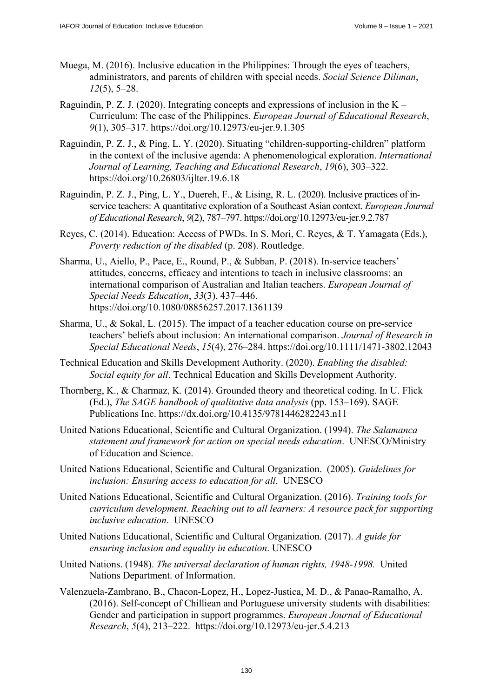- Muega, M. (2016). Inclusive education in the Philippines: Through the eyes of teachers, administrators, and parents of children with special needs. *Social Science Diliman*, *12*(5), 5–28.
- Raguindin, P. Z. J. (2020). Integrating concepts and expressions of inclusion in the  $K -$ Curriculum: The case of the Philippines. *European Journal of Educational Research*, *9*(1), 305–317. <https://doi.org/10.12973/eu-jer.9.1.305>
- Raguindin, P. Z. J., & Ping, L. Y. (2020). Situating "children-supporting-children" platform in the context of the inclusive agenda: A phenomenological exploration. *International Journal of Learning, Teaching and Educational Research*, *19*(6), 303–322. <https://doi.org/10.26803/ijlter.19.6.18>
- Raguindin, P. Z. J., Ping, L. Y., Duereh, F., & Lising, R. L. (2020). Inclusive practices of inservice teachers: A quantitative exploration of a Southeast Asian context. *European Journal of Educational Research*, *9*(2), 787–797. <https://doi.org/10.12973/eu-jer.9.2.787>
- Reyes, C. (2014). Education: Access of PWDs. In S. Mori, C. Reyes, & T. Yamagata (Eds.), *Poverty reduction of the disabled* (p. 208). Routledge.
- Sharma, U., Aiello, P., Pace, E., Round, P., & Subban, P. (2018). In-service teachers' attitudes, concerns, efficacy and intentions to teach in inclusive classrooms: an international comparison of Australian and Italian teachers. *European Journal of Special Needs Education*, *33*(3), 437–446. <https://doi.org/10.1080/08856257.2017.1361139>
- Sharma, U., & Sokal, L. (2015). The impact of a teacher education course on pre-service teachers' beliefs about inclusion: An international comparison. *Journal of Research in Special Educational Needs*, *15*(4), 276–284.<https://doi.org/10.1111/1471-3802.12043>
- Technical Education and Skills Development Authority. (2020). *Enabling the disabled: Social equity for all*. Technical Education and Skills Development Authority.
- Thornberg, K., & Charmaz, K. (2014). Grounded theory and theoretical coding. In U. Flick (Ed.), *The SAGE handbook of qualitative data analysis* (pp. 153–169). SAGE Publications Inc. <https://dx.doi.org/10.4135/9781446282243.n11>
- United Nations Educational, Scientific and Cultural Organization. (1994). *The Salamanca statement and framework for action on special needs education*. UNESCO/Ministry of Education and Science.
- United Nations Educational, Scientific and Cultural Organization. (2005). *Guidelines for inclusion: Ensuring access to education for all*. UNESCO
- United Nations Educational, Scientific and Cultural Organization. (2016). *Training tools for curriculum development. Reaching out to all learners: A resource pack for supporting inclusive education*. UNESCO
- United Nations Educational, Scientific and Cultural Organization. (2017). *A guide for ensuring inclusion and equality in education*. UNESCO
- United Nations. (1948). *The universal declaration of human rights, 1948-1998.* United Nations Department. of Information.
- Valenzuela-Zambrano, B., Chacon-Lopez, H., Lopez-Justica, M. D., & Panao-Ramalho, A. (2016). Self-concept of Chilliean and Portuguese university students with disabilities: Gender and participation in support programmes. *European Journal of Educational Research*, *5*(4), 213–222. <https://doi.org/10.12973/eu-jer.5.4.213>